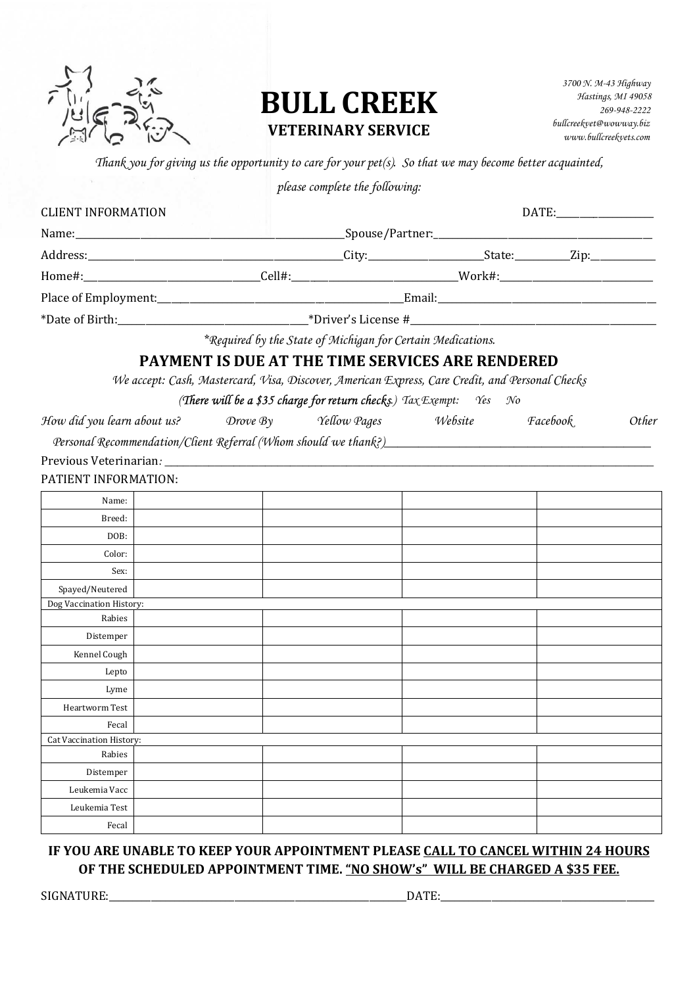

# **BULL CREEK VETERINARY SERVICE**

 *3700 N. M-43 Highway Hastings, MI 49058 269-948-2222 bullcreekvet@wowway.biz www.bullcreekvets.com* 

*Thank you for giving us the opportunity to care for your pet(s). So that we may become better acquainted,* 

*please complete the following:*

| <b>CLIENT INFORMATION</b> |  |  | DATE: 2004                                                                                                     |  |                 |       |
|---------------------------|--|--|----------------------------------------------------------------------------------------------------------------|--|-----------------|-------|
|                           |  |  |                                                                                                                |  |                 |       |
|                           |  |  |                                                                                                                |  |                 |       |
|                           |  |  | Home#:________________________________Cell#:______________________________Work#:______________________________ |  |                 |       |
|                           |  |  |                                                                                                                |  |                 |       |
|                           |  |  |                                                                                                                |  |                 |       |
|                           |  |  | *Required by the State of Michigan for Certain Medications.                                                    |  |                 |       |
|                           |  |  | <b>PAYMENT IS DUE AT THE TIME SERVICES ARE RENDERED</b>                                                        |  |                 |       |
|                           |  |  | We accept: Cash, Mastercard, Visa, Discover, American Express, Care Credit, and Personal Checks                |  |                 |       |
|                           |  |  | (There will be a \$35 charge for return checks.) $\text{Tax} \text{Exempt:}$ Yes No                            |  |                 |       |
|                           |  |  | How did you learn about us? Drove By Yellow Pages Website                                                      |  | <i>Facebook</i> | Other |
|                           |  |  |                                                                                                                |  |                 |       |
|                           |  |  |                                                                                                                |  |                 |       |
|                           |  |  |                                                                                                                |  |                 |       |
| PATIENT INFORMATION:      |  |  |                                                                                                                |  |                 |       |
| Name:                     |  |  |                                                                                                                |  |                 |       |
| Breed:                    |  |  |                                                                                                                |  |                 |       |
| DOB:                      |  |  |                                                                                                                |  |                 |       |
| Color:                    |  |  |                                                                                                                |  |                 |       |
| Sex:                      |  |  |                                                                                                                |  |                 |       |
| Spayed/Neutered           |  |  |                                                                                                                |  |                 |       |
| Dog Vaccination History:  |  |  |                                                                                                                |  |                 |       |
| Rabies                    |  |  |                                                                                                                |  |                 |       |
| Distemper                 |  |  |                                                                                                                |  |                 |       |
| Kennel Cough              |  |  |                                                                                                                |  |                 |       |
| Lepto                     |  |  |                                                                                                                |  |                 |       |
| Lyme                      |  |  |                                                                                                                |  |                 |       |
| Heartworm Test            |  |  |                                                                                                                |  |                 |       |
| Fecal                     |  |  |                                                                                                                |  |                 |       |
| Cat Vaccination History:  |  |  |                                                                                                                |  |                 |       |
| Rabies                    |  |  |                                                                                                                |  |                 |       |
| Distemper                 |  |  |                                                                                                                |  |                 |       |
| Leukemia Vacc             |  |  |                                                                                                                |  |                 |       |
| Leukemia Test             |  |  |                                                                                                                |  |                 |       |
| Fecal                     |  |  |                                                                                                                |  |                 |       |

# IF YOU ARE UNABLE TO KEEP YOUR APPOINTMENT PLEASE CALL TO CANCEL WITHIN 24 HOURS OF THE SCHEDULED APPOINTMENT TIME. "NO SHOW's" WILL BE CHARGED A \$35 FEE.

SIGNATURE:\_\_\_\_\_\_\_\_\_\_\_\_\_\_\_\_\_\_\_\_\_\_\_\_\_\_\_\_\_\_\_\_\_\_\_\_\_\_\_\_\_\_\_\_\_\_\_\_\_\_\_\_\_\_\_\_\_\_\_\_\_\_\_\_DATE:\_\_\_\_\_\_\_\_\_\_\_\_\_\_\_\_\_\_\_\_\_\_\_\_\_\_\_\_\_\_\_\_\_\_\_\_\_\_\_\_\_\_\_\_\_\_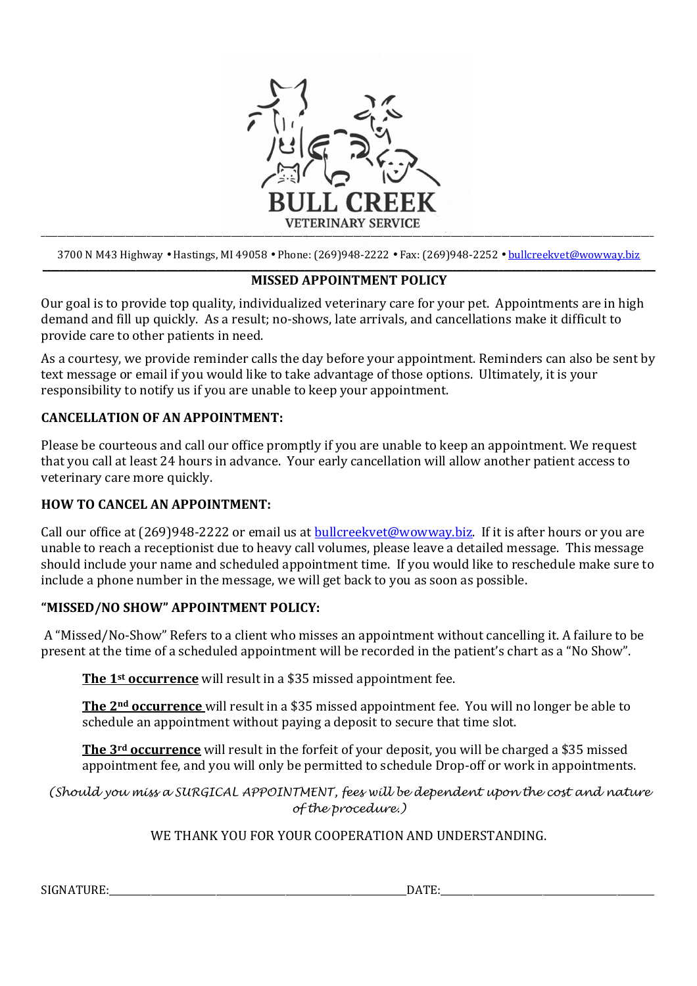

3700 N M43 Highway • Hastings, MI 49058 • Phone: (269)948-2222 • Fax: (269)948-2252 • bullcreekvet@wowway.biz **\_\_\_\_\_\_\_\_\_\_\_\_\_\_\_\_\_\_\_\_\_\_\_\_\_\_\_\_\_\_\_\_\_\_\_\_\_\_\_\_\_\_\_\_\_\_\_\_\_\_\_\_\_\_\_\_\_\_\_\_\_\_\_\_\_\_\_\_\_\_\_\_\_\_\_\_\_\_\_\_\_\_\_\_\_\_\_\_\_\_\_\_\_\_\_\_\_\_\_\_\_\_\_\_\_\_\_\_\_\_\_\_\_\_\_\_\_\_\_\_\_\_\_\_\_\_\_\_\_\_\_\_\_\_\_\_\_\_\_\_\_\_\_\_\_**

## **MISSED APPOINTMENT POLICY**

Our goal is to provide top quality, individualized veterinary care for your pet. Appointments are in high demand and fill up quickly. As a result; no-shows, late arrivals, and cancellations make it difficult to provide care to other patients in need.

As a courtesy, we provide reminder calls the day before your appointment. Reminders can also be sent by text message or email if you would like to take advantage of those options. Ultimately, it is your responsibility to notify us if you are unable to keep your appointment.

#### **CANCELLATION OF AN APPOINTMENT:**

Please be courteous and call our office promptly if you are unable to keep an appointment. We request that you call at least 24 hours in advance. Your early cancellation will allow another patient access to veterinary care more quickly.

## **HOW TO CANCEL AN APPOINTMENT:**

Call our office at (269)948-2222 or email us at bullcreekvet@wowway.biz. If it is after hours or you are unable to reach a receptionist due to heavy call volumes, please leave a detailed message. This message should include your name and scheduled appointment time. If you would like to reschedule make sure to include a phone number in the message, we will get back to you as soon as possible.

## **"MISSED/NO SHOW" APPOINTMENT POLICY:**

 A "Missed/No-Show" Refers to a client who misses an appointment without cancelling it. A failure to be present at the time of a scheduled appointment will be recorded in the patient's chart as a "No Show".

**The 1st occurrence** will result in a \$35 missed appointment fee.

**The 2nd occurrence** will result in a \$35 missed appointment fee. You will no longer be able to schedule an appointment without paying a deposit to secure that time slot.

**The 3rd occurrence** will result in the forfeit of your deposit, you will be charged a \$35 missed appointment fee, and you will only be permitted to schedule Drop-off or work in appointments.

(Should you miss a SURGICAL APPOINTMENT, fees will be dependent upon the cost and nature of the procedure.)

## WE THANK YOU FOR YOUR COOPERATION AND UNDERSTANDING.

SIGNATURE: THE EXECUTIVE OF THE EXECUTIVE OF THE EXECUTIVE OF THE EXECUTIVE OF THE EXECUTIVE OF THE EXECUTIVE OF THE EXECUTIVE OF THE EXECUTIVE OF THE EXECUTIVE OF THE EXECUTIVE OF THE EXECUTIVE OF THE EXECUTIVE OF THE EXE